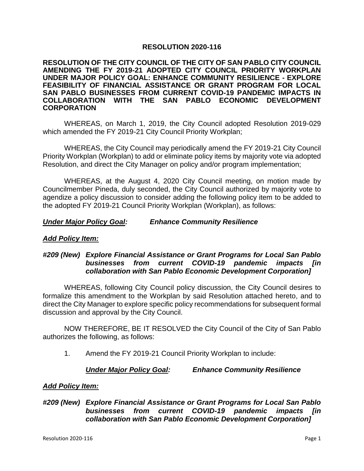# **RESOLUTION 2020-116**

**RESOLUTION OF THE CITY COUNCIL OF THE CITY OF SAN PABLO CITY COUNCIL AMENDING THE FY 2019-21 ADOPTED CITY COUNCIL PRIORITY WORKPLAN UNDER MAJOR POLICY GOAL: ENHANCE COMMUNITY RESILIENCE - EXPLORE FEASIBILITY OF FINANCIAL ASSISTANCE OR GRANT PROGRAM FOR LOCAL SAN PABLO BUSINESSES FROM CURRENT COVID-19 PANDEMIC IMPACTS IN COLLABORATION WITH THE SAN PABLO ECONOMIC DEVELOPMENT CORPORATION**

WHEREAS, on March 1, 2019, the City Council adopted Resolution 2019-029 which amended the FY 2019-21 City Council Priority Workplan;

WHEREAS, the City Council may periodically amend the FY 2019-21 City Council Priority Workplan (Workplan) to add or eliminate policy items by majority vote via adopted Resolution, and direct the City Manager on policy and/or program implementation;

WHEREAS, at the August 4, 2020 City Council meeting, on motion made by Councilmember Pineda, duly seconded, the City Council authorized by majority vote to agendize a policy discussion to consider adding the following policy item to be added to the adopted FY 2019-21 Council Priority Workplan (Workplan), as follows:

*Under Major Policy Goal: Enhance Community Resilience*

### *Add Policy Item:*

# *#209 (New) Explore Financial Assistance or Grant Programs for Local San Pablo businesses from current COVID-19 pandemic impacts [in collaboration with San Pablo Economic Development Corporation]*

WHEREAS, following City Council policy discussion, the City Council desires to formalize this amendment to the Workplan by said Resolution attached hereto, and to direct the City Manager to explore specific policy recommendations for subsequent formal discussion and approval by the City Council.

NOW THEREFORE, BE IT RESOLVED the City Council of the City of San Pablo authorizes the following, as follows:

1. Amend the FY 2019-21 Council Priority Workplan to include:

*Under Major Policy Goal: Enhance Community Resilience*

# *Add Policy Item:*

*#209 (New) Explore Financial Assistance or Grant Programs for Local San Pablo businesses from current COVID-19 pandemic impacts [in collaboration with San Pablo Economic Development Corporation]*